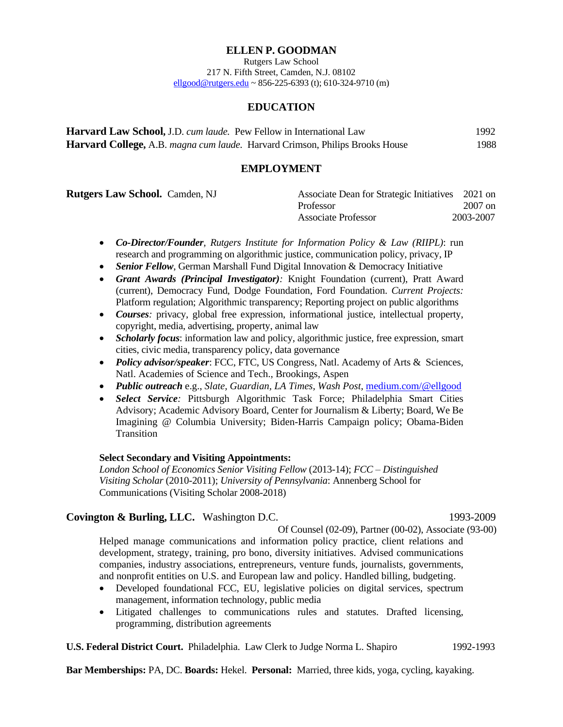## **ELLEN P. GOODMAN**

Rutgers Law School 217 N. Fifth Street, Camden, N.J. 08102  $ell$ <sub>good</sub>@rutgers.edu ~ 856-225-6393 (t): 610-324-9710 (m)

## **EDUCATION**

| <b>Harvard Law School, J.D.</b> cum laude. Pew Fellow in International Law   | 1992 |
|------------------------------------------------------------------------------|------|
| Harvard College, A.B. magna cum laude. Harvard Crimson, Philips Brooks House | 1988 |

## **EMPLOYMENT**

| <b>Rutgers Law School.</b> Camden, NJ | Associate Dean for Strategic Initiatives 2021 on |           |
|---------------------------------------|--------------------------------------------------|-----------|
|                                       | Professor                                        | $2007$ on |
|                                       | <b>Associate Professor</b>                       | 2003-2007 |

- *Co-Director/Founder, Rutgers Institute for Information Policy & Law (RIIPL)*: run research and programming on algorithmic justice, communication policy, privacy, IP
- *Senior Fellow*, German Marshall Fund Digital Innovation & Democracy Initiative
- *Grant Awards (Principal Investigator):* Knight Foundation (current), Pratt Award (current), Democracy Fund, Dodge Foundation, Ford Foundation. *Current Projects:* Platform regulation; Algorithmic transparency; Reporting project on public algorithms
- *Courses:* privacy, global free expression, informational justice, intellectual property, copyright, media, advertising, property, animal law
- *Scholarly focus*: information law and policy, algorithmic justice, free expression, smart cities, civic media, transparency policy, data governance
- *Policy advisor/speaker*: FCC, FTC, US Congress, Natl. Academy of Arts & Sciences, Natl. Academies of Science and Tech., Brookings, Aspen
- *Public outreach* e.g., *Slate, Guardian, LA Times, Wash Post,* [medium.com/@ellgood](mailto:medium.com/@ellgood)
- *Select Service:* Pittsburgh Algorithmic Task Force; Philadelphia Smart Cities Advisory; Academic Advisory Board, Center for Journalism & Liberty; Board, We Be Imagining @ Columbia University; Biden-Harris Campaign policy; Obama-Biden **Transition**

### **Select Secondary and Visiting Appointments:**

*London School of Economics Senior Visiting Fellow* (2013-14); *FCC – Distinguished Visiting Scholar* (2010-2011); *University of Pennsylvania*: Annenberg School for Communications (Visiting Scholar 2008-2018)

## **Covington & Burling, LLC.** Washington D.C.1993-2009

Of Counsel (02-09), Partner (00-02), Associate (93-00)

Helped manage communications and information policy practice, client relations and development, strategy, training, pro bono, diversity initiatives. Advised communications companies, industry associations, entrepreneurs, venture funds, journalists, governments, and nonprofit entities on U.S. and European law and policy. Handled billing, budgeting.

- Developed foundational FCC, EU, legislative policies on digital services, spectrum management, information technology, public media
- Litigated challenges to communications rules and statutes. Drafted licensing, programming, distribution agreements

**U.S. Federal District Court.** Philadelphia. Law Clerk to Judge Norma L. Shapiro1992-1993

**Bar Memberships:** PA, DC. **Boards:** Hekel. **Personal:** Married, three kids, yoga, cycling, kayaking.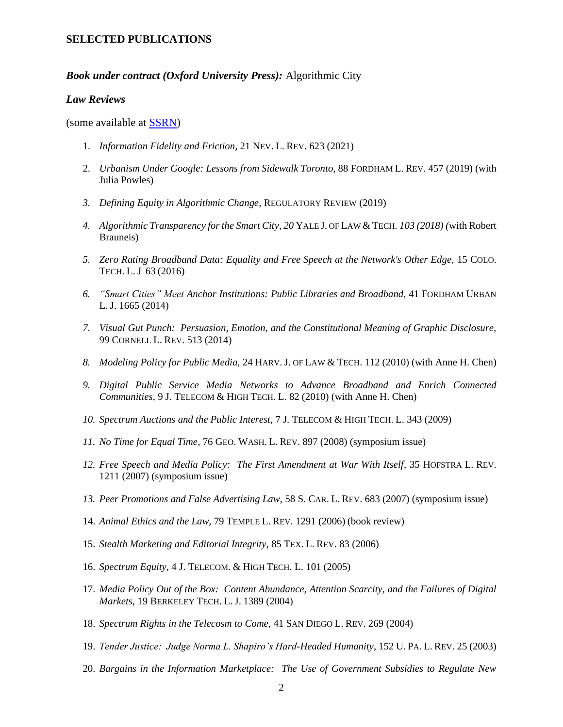## **SELECTED PUBLICATIONS**

## *Book under contract (Oxford University Press):* Algorithmic City

#### *Law Reviews*

(some available at [SSRN\)](http://papers.ssrn.com/sol3/cf_dev/AbsByAuth.cfm?per_id=333377)

- 1. *Information Fidelity and Friction,* 21 NEV. L. REV. 623 (2021)
- 2. *Urbanism Under Google: Lessons from Sidewalk Toronto,* 88 FORDHAM L. REV. 457 (2019) (with Julia Powles)
- *3. Defining Equity in Algorithmic Change,* REGULATORY REVIEW (2019)
- *4. Algorithmic Transparency for the Smart City*, *20* YALE J. OF LAW & TECH*. 103 (2018) (*with Robert Brauneis)
- *5. Zero Rating Broadband Data: Equality and Free Speech at the Network's Other Edge,* 15 COLO. TECH. L. J 63 (2016)
- *6. "Smart Cities" Meet Anchor Institutions: Public Libraries and Broadband,* 41 FORDHAM URBAN L. J. 1665 (2014)
- *7. Visual Gut Punch: Persuasion, Emotion, and the Constitutional Meaning of Graphic Disclosure,*  99 CORNELL L. REV. 513 (2014)
- *8. Modeling Policy for Public Media,* 24 HARV. J. OF LAW & TECH. 112 (2010) (with Anne H. Chen)
- *9. Digital Public Service Media Networks to Advance Broadband and Enrich Connected Communities*, 9 J. TELECOM & HIGH TECH. L. 82 (2010) (with Anne H. Chen)
- *10. Spectrum Auctions and the Public Interest,* 7 J. TELECOM & HIGH TECH. L. 343 (2009)
- *11. No Time for Equal Time*, 76 GEO. WASH. L. REV. 897 (2008) (symposium issue)
- *12. Free Speech and Media Policy: The First Amendment at War With Itself,* 35 HOFSTRA L. REV. 1211 (2007) (symposium issue)
- *13. Peer Promotions and False Advertising Law*, 58 S. CAR. L. REV. 683 (2007) (symposium issue)
- 14. *Animal Ethics and the Law,* 79 TEMPLE L. REV. 1291 (2006) (book review)
- 15. *Stealth Marketing and Editorial Integrity*, 85 TEX. L. REV. 83 (2006)
- 16. *Spectrum Equity*, 4 J. TELECOM. & HIGH TECH. L. 101 (2005)
- 17. *Media Policy Out of the Box: Content Abundance, Attention Scarcity, and the Failures of Digital Markets*, 19 BERKELEY TECH. L. J. 1389 (2004)
- 18. *Spectrum Rights in the Telecosm to Come*, 41 SAN DIEGO L. REV. 269 (2004)
- 19. *Tender Justice: Judge Norma L. Shapiro's Hard-Headed Humanity*, 152 U. PA. L. REV. 25 (2003)
- 20. *Bargains in the Information Marketplace: The Use of Government Subsidies to Regulate New*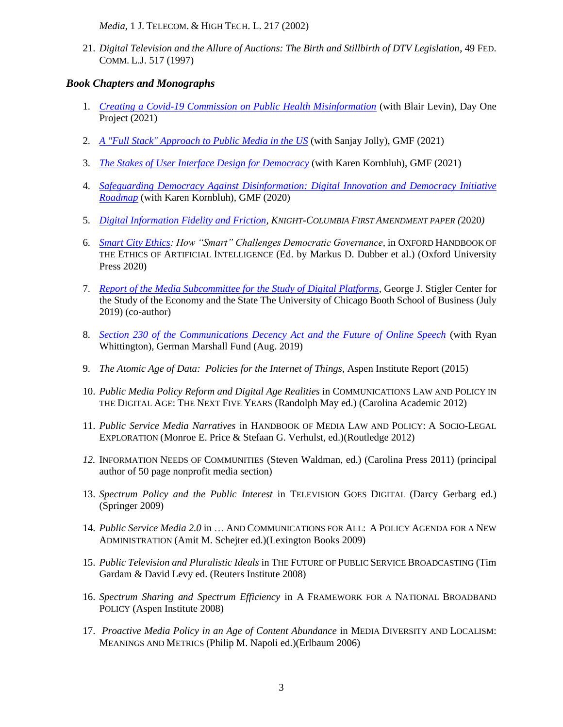*Media*, 1 J. TELECOM. & HIGH TECH. L. 217 (2002)

21. *Digital Television and the Allure of Auctions: The Birth and Stillbirth of DTV Legislation*, 49 FED. COMM. L.J. 517 (1997)

# *Book Chapters and Monographs*

- 1. *[Creating a Covid-19 Commission on Public Health Misinformation](https://www.dayoneproject.org/post/creating-a-covid-19-commission-on-public-health-misinformation)* (with Blair Levin), Day One Project (2021)
- 2. *[A "Full Stack" Approach to Public Media in the US](https://www.gmfus.org/publications/full-stack-approach-public-media-united-states?utm_source=email&utm_medium=email&utm_campaign=new%20newsletter%20template)* (with Sanjay Jolly), GMF (2021)
- 3. *[The Stakes of User Interface Design for Democracy](https://www.gmfus.org/publications/stakes-user-interface-design-democracy)* (with Karen Kornbluh), GMF (2021)
- 4. *[Safeguarding Democracy Against Disinformation:](https://www.gmfus.org/publications/safeguarding-democracy-against-disinformation) Digital Innovation and Democracy Initiative Roadmap* (with Karen Kornbluh), GMF (2020)
- 5. *[Digital Information Fidelity and Friction,](https://knightcolumbia.org/content/digital-fidelity-and-friction) KNIGHT-COLUMBIA FIRST AMENDMENT PAPER (*2020*)*
- 6. *[Smart City Ethics:](https://www.oxfordhandbooks.com/view/10.1093/oxfordhb/9780190067397.001.0001/oxfordhb-9780190067397-e-53) How "Smart" Challenges Democratic Governance,* in OXFORD HANDBOOK OF THE ETHICS OF ARTIFICIAL INTELLIGENCE (Ed. by Markus D. Dubber et al.) (Oxford University Press 2020)
- 7. *[Report of the Media Subcommittee for the Study of Digital Platforms](http://www.columbia.edu/~ap3116/papers/MediaReportFinal.pdf)*, George J. Stigler Center for the Study of the Economy and the State The University of Chicago Booth School of Business (July 2019) (co-author)
- 8. *[Section 230 of the Communications Decency Act and the Future of Online Speech](https://www.gmfus.org/publications/section-230-communications-decency-act-and-future-online-speech)* (with Ryan Whittington), German Marshall Fund (Aug. 2019)
- 9. *The Atomic Age of Data: Policies for the Internet of Things,* Aspen Institute Report (2015)
- 10. *Public Media Policy Reform and Digital Age Realities* in COMMUNICATIONS LAW AND POLICY IN THE DIGITAL AGE: THE NEXT FIVE YEARS (Randolph May ed.) (Carolina Academic 2012)
- 11. *Public Service Media Narratives* in HANDBOOK OF MEDIA LAW AND POLICY: A SOCIO-LEGAL EXPLORATION (Monroe E. Price & Stefaan G. Verhulst, ed.)(Routledge 2012)
- *12.* INFORMATION NEEDS OF COMMUNITIES (Steven Waldman, ed.) (Carolina Press 2011) (principal author of 50 page nonprofit media section)
- 13. *Spectrum Policy and the Public Interest* in TELEVISION GOES DIGITAL (Darcy Gerbarg ed.) (Springer 2009)
- 14. *Public Service Media 2.0* in … AND COMMUNICATIONS FOR ALL: A POLICY AGENDA FOR A NEW ADMINISTRATION (Amit M. Schejter ed.)(Lexington Books 2009)
- 15. *Public Television and Pluralistic Ideals* in THE FUTURE OF PUBLIC SERVICE BROADCASTING (Tim Gardam & David Levy ed. (Reuters Institute 2008)
- 16. *Spectrum Sharing and Spectrum Efficiency* in A FRAMEWORK FOR A NATIONAL BROADBAND POLICY (Aspen Institute 2008)
- 17. *Proactive Media Policy in an Age of Content Abundance* in MEDIA DIVERSITY AND LOCALISM: MEANINGS AND METRICS (Philip M. Napoli ed.)(Erlbaum 2006)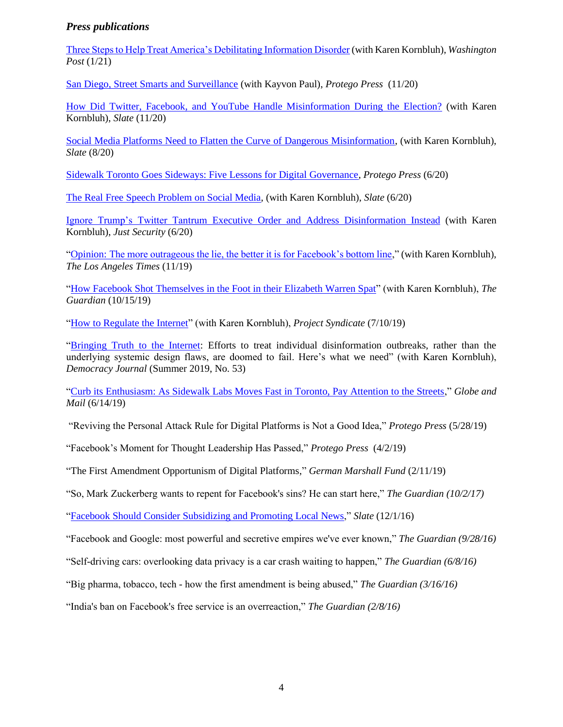# *Press publications*

[Three Steps to Help Treat America's Debilitating Information Disorder](https://www.washingtonpost.com/opinions/2021/01/13/three-steps-help-treat-americas-debilitating-information-disorder/) (with Karen Kornbluh), *Washington Post* (1/21)

[San Diego, Street Smarts and Surveillance](https://protegopress.com/san-diego-street-smarts-and-surveillance/) (with Kayvon Paul), *Protego Press* (11/20)

[How Did Twitter, Facebook, and YouTube Handle Misinformation During the Election?](https://slate.com/technology/2020/11/twitter-facebook-youtube-misinformation-election.html) (with Karen Kornbluh), *Slate* (11/20)

[Social Media Platforms Need to Flatten the Curve of Dangerous Misinformation,](https://slate.com/technology/2020/08/facebook-twitter-youtube-misinformation-virality-speed-bump.html) (with Karen Kornbluh), *Slate* (8/20)

[Sidewalk Toronto Goes Sideways: Five Lessons for Digital Governance,](https://protegopress.com/sidewalk-toronto-goes-sideways-five-lessons-for-digital-governance/) *Protego Press* (6/20)

[The Real Free Speech Problem on Social Media,](https://slate.com/technology/2020/06/trump-social-media-executive-order-power.html) (with Karen Kornbluh), *Slate* (6/20)

[Ignore Trump's Twitter Tantrum Executive Order and Address Disinformation Instead](https://www.justsecurity.org/70590/ignore-trumps-twitter-tantrum-executive-order-and-address-disinformation-instead/) (with Karen Kornbluh), *Just Security* (6/20)

"Opinion: [The more outrageous the lie, the better it is for Facebook's bottom line,](https://www.thedailyworld.com/opinion/the-more-outrageous-the-lie-the-better-it-is-for-facebooks-bottom-line/)" (with Karen Kornbluh), *The Los Angeles Times* (11/19)

["How Facebook Shot Themselves in the Foot in their Elizabeth Warren Spat"](https://www.theguardian.com/commentisfree/2019/oct/15/facebook-elizabeth-warren-regulation) (with Karen Kornbluh), *The Guardian* (10/15/19)

["How to Regulate the Internet"](https://www.project-syndicate.org/commentary/digital-platforms-disinformation-new-regulator-by-karen-kornbluh-1-and-ellen-p-goodman-2019-07?barrier=accesspaylog) (with Karen Kornbluh), *Project Syndicate* (7/10/19)

["Bringing Truth to the Internet:](https://democracyjournal.org/magazine/53/bringing-truth-to-the-internet/) Efforts to treat individual disinformation outbreaks, rather than the underlying systemic design flaws, are doomed to fail. Here's what we need" (with Karen Kornbluh), *Democracy Journal* (Summer 2019, No. 53)

["Curb its Enthusiasm: As Sidewalk Labs Moves Fast in Toronto, Pay Attention to the Streets,](https://www.theglobeandmail.com/opinion/article-curb-its-enthusiasm-why-sidewalk-labs-fast-moving-plans-for-toronto/)" *Globe and Mail* (6/14/19)

"Reviving the Personal Attack Rule for Digital Platforms is Not a Good Idea," *Protego Press* (5/28/19)

"Facebook's Moment for Thought Leadership Has Passed," *Protego Press* (4/2/19)

"The First Amendment Opportunism of Digital Platforms," *German Marshall Fund* (2/11/19)

"So, Mark Zuckerberg wants to repent for Facebook's sins? He can start here," *The Guardian (10/2/17)*

["Facebook Should Consider Subsidizing and Promoting Local News,](https://slate.com/technology/2016/12/facebook-should-consider-subsidizing-local-news.html)" *Slate* (12/1/16)

"Facebook and Google: most powerful and secretive empires we've ever known," *The Guardian (9/28/16)*

"Self-driving cars: overlooking data privacy is a car crash waiting to happen," *The Guardian (6/8/16)*

"Big pharma, tobacco, tech - how the first amendment is being abused," *The Guardian (3/16/16)*

"India's ban on Facebook's free service is an overreaction," *The Guardian (2/8/16)*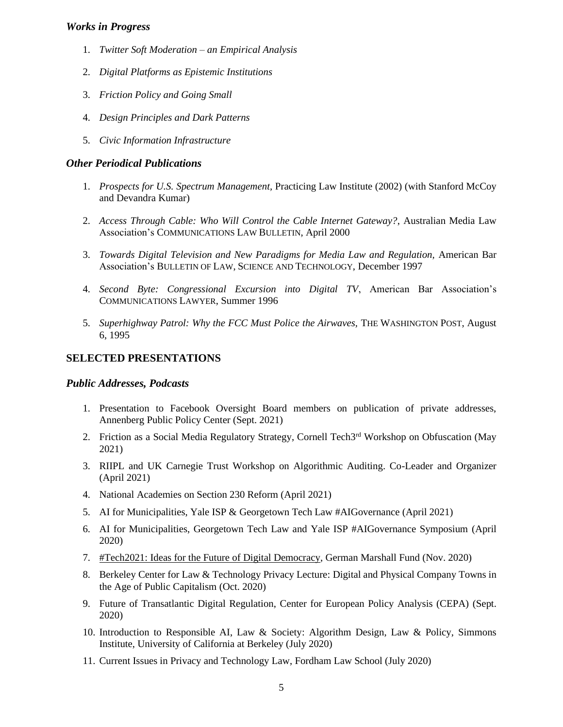## *Works in Progress*

- 1. *Twitter Soft Moderation – an Empirical Analysis*
- 2. *Digital Platforms as Epistemic Institutions*
- 3. *Friction Policy and Going Small*
- 4. *Design Principles and Dark Patterns*
- 5. *Civic Information Infrastructure*

### *Other Periodical Publications*

- 1. *Prospects for U.S. Spectrum Management,* Practicing Law Institute (2002) (with Stanford McCoy and Devandra Kumar)
- 2. *Access Through Cable: Who Will Control the Cable Internet Gateway?*, Australian Media Law Association's COMMUNICATIONS LAW BULLETIN, April 2000
- 3. *Towards Digital Television and New Paradigms for Media Law and Regulation,* American Bar Association's BULLETIN OF LAW, SCIENCE AND TECHNOLOGY, December 1997
- 4. *Second Byte: Congressional Excursion into Digital TV*, American Bar Association's COMMUNICATIONS LAWYER, Summer 1996
- 5. *Superhighway Patrol: Why the FCC Must Police the Airwaves*, THE WASHINGTON POST, August 6, 1995

## **SELECTED PRESENTATIONS**

## *Public Addresses, Podcasts*

- 1. Presentation to Facebook Oversight Board members on publication of private addresses, Annenberg Public Policy Center (Sept. 2021)
- 2. Friction as a Social Media Regulatory Strategy, Cornell Tech<sup>3rd</sup> Workshop on Obfuscation (May 2021)
- 3. RIIPL and UK Carnegie Trust Workshop on Algorithmic Auditing. Co-Leader and Organizer (April 2021)
- 4. National Academies on Section 230 Reform (April 2021)
- 5. AI for Municipalities, Yale ISP & Georgetown Tech Law #AIGovernance (April 2021)
- 6. AI for Municipalities, Georgetown Tech Law and Yale ISP #AIGovernance Symposium (April 2020)
- 7. [#Tech2021: Ideas for the Future of Digital Democracy,](https://www.gmfus.org/events/tech2021-ideas-digital-democracy) German Marshall Fund (Nov. 2020)
- 8. Berkeley Center for Law & Technology Privacy Lecture: Digital and Physical Company Towns in the Age of Public Capitalism (Oct. 2020)
- 9. Future of Transatlantic Digital Regulation, Center for European Policy Analysis (CEPA) (Sept. 2020)
- 10. [Introduction to Responsible AI, Law & Society:](https://simons.berkeley.edu/talks/introduction-responsible-ai-law-society) Algorithm Design, Law & Policy, Simmons Institute, University of California at Berkeley (July 2020)
- 11. [Current Issues in Privacy and Technology Law,](https://www.fordham.edu/info/29809/current_issues_in_privacy_and_technology_law_-_online) Fordham Law School (July 2020)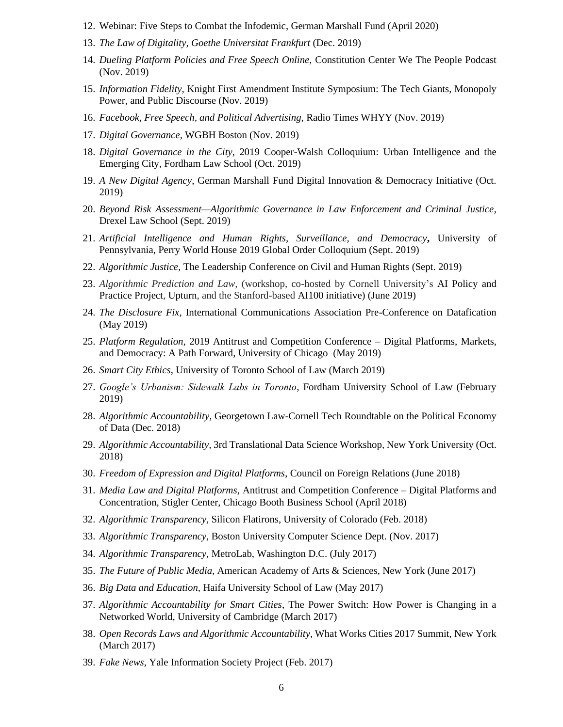- 12. [Webinar: Five Steps to Combat the Infodemic,](https://www.gmfus.org/events/webinar-five-steps-combat-infodemic) German Marshall Fund (April 2020)
- 13. *The Law of Digitality, Goethe Universitat Frankfurt* (Dec. 2019)
- 14. *Dueling Platform Policies and Free Speech Online,* Constitution Center We The People Podcast (Nov. 2019)
- 15. *Information Fidelity*, Knight First Amendment Institute Symposium: The Tech Giants, Monopoly Power, and Public Discourse (Nov. 2019)
- 16. *Facebook, Free Speech, and Political Advertising,* Radio Times WHYY (Nov. 2019)
- 17. *Digital Governance,* WGBH Boston (Nov. 2019)
- 18. *Digital Governance in the City,* 2019 Cooper-Walsh Colloquium: Urban Intelligence and the Emerging City, Fordham Law School (Oct. 2019)
- 19. *A New Digital Agency*, German Marshall Fund Digital Innovation & Democracy Initiative (Oct. 2019)
- 20. *Beyond Risk Assessment—Algorithmic Governance in Law Enforcement and Criminal Justice*, Drexel Law School (Sept. 2019)
- 21. *Artificial Intelligence and Human Rights, Surveillance, and Democracy***,** University of Pennsylvania, Perry World House 2019 Global Order Colloquium (Sept. 2019)
- 22. *Algorithmic Justice,* The Leadership Conference on Civil and Human Rights (Sept. 2019)
- 23. *Algorithmic Prediction and Law*, (workshop, co-hosted by Cornell University's AI Policy and Practice Project, Upturn, and the Stanford-based AI100 initiative) (June 2019)
- 24. *The Disclosure Fix*, International Communications Association Pre-Conference on Datafication (May 2019)
- 25. *Platform Regulation,* 2019 Antitrust and Competition Conference Digital Platforms, Markets, and Democracy: A Path Forward, University of Chicago (May 2019)
- 26. *Smart City Ethics*, University of Toronto School of Law (March 2019)
- 27. *Google's Urbanism: Sidewalk Labs in Toronto*, Fordham University School of Law (February 2019)
- 28. *Algorithmic Accountability,* Georgetown Law-Cornell Tech Roundtable on the Political Economy of Data (Dec. 2018)
- 29. *Algorithmic Accountability,* 3rd Translational Data Science Workshop*,* New York University (Oct. 2018)
- 30. *Freedom of Expression and Digital Platforms*, Council on Foreign Relations (June 2018)
- 31. *Media Law and Digital Platforms*, Antitrust and Competition Conference Digital Platforms and Concentration, Stigler Center, Chicago Booth Business School (April 2018)
- 32. *Algorithmic Transparency,* Silicon Flatirons, University of Colorado (Feb. 2018)
- 33. *Algorithmic Transparency,* Boston University Computer Science Dept. (Nov. 2017)
- 34. *Algorithmic Transparency,* MetroLab, Washington D.C. (July 2017)
- 35. *The Future of Public Media,* American Academy of Arts & Sciences, New York (June 2017)
- 36. *Big Data and Education,* Haifa University School of Law (May 2017)
- 37. *Algorithmic Accountability for Smart Cities*, The Power Switch: How Power is Changing in a Networked World, University of Cambridge (March 2017)
- 38. *Open Records Laws and Algorithmic Accountability,* What Works Cities 2017 Summit, New York (March 2017)
- 39. *Fake News,* Yale Information Society Project (Feb. 2017)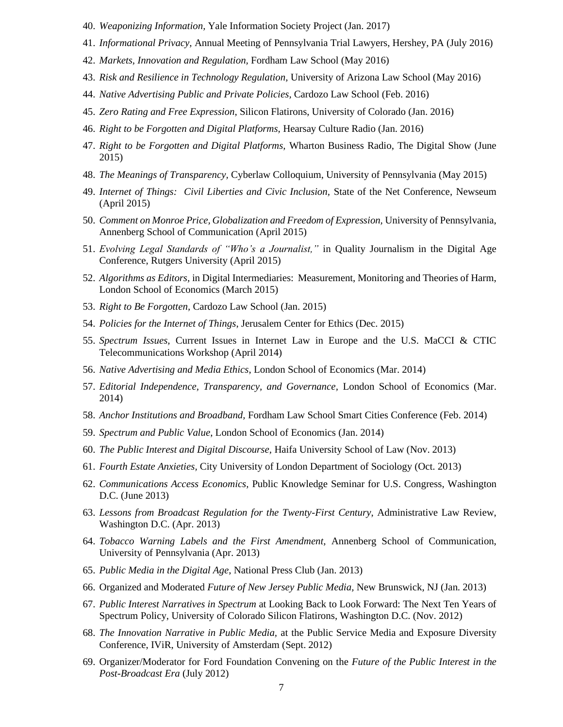- 40. *Weaponizing Information,* Yale Information Society Project (Jan. 2017)
- 41. *Informational Privacy,* Annual Meeting of Pennsylvania Trial Lawyers, Hershey, PA (July 2016)
- 42. *Markets, Innovation and Regulation,* Fordham Law School (May 2016)
- 43. *Risk and Resilience in Technology Regulation,* University of Arizona Law School (May 2016)
- 44. *Native Advertising Public and Private Policies,* Cardozo Law School (Feb. 2016)
- 45. *Zero Rating and Free Expression*, Silicon Flatirons, University of Colorado (Jan. 2016)
- 46. *Right to be Forgotten and Digital Platforms,* Hearsay Culture Radio (Jan. 2016)
- 47. *Right to be Forgotten and Digital Platforms,* Wharton Business Radio, The Digital Show (June 2015)
- 48. *The Meanings of Transparency,* Cyberlaw Colloquium, University of Pennsylvania (May 2015)
- 49. *Internet of Things: Civil Liberties and Civic Inclusion,* State of the Net Conference, Newseum (April 2015)
- 50. *Comment on Monroe Price, Globalization and Freedom of Expression,* University of Pennsylvania, Annenberg School of Communication (April 2015)
- 51. *Evolving Legal Standards of "Who's a Journalist,"* in Quality Journalism in the Digital Age Conference, Rutgers University (April 2015)
- 52. *Algorithms as Editors,* in Digital Intermediaries: Measurement, Monitoring and Theories of Harm, London School of Economics (March 2015)
- 53. *Right to Be Forgotten,* Cardozo Law School (Jan. 2015)
- 54. *Policies for the Internet of Things*, Jerusalem Center for Ethics (Dec. 2015)
- 55. *Spectrum Issues,* Current Issues in Internet Law in Europe and the U.S. MaCCI & CTIC Telecommunications Workshop (April 2014)
- 56. *Native Advertising and Media Ethics*, London School of Economics (Mar. 2014)
- 57. *Editorial Independence, Transparency, and Governance,* London School of Economics (Mar. 2014)
- 58. *Anchor Institutions and Broadband,* Fordham Law School Smart Cities Conference (Feb. 2014)
- 59. *Spectrum and Public Value*, London School of Economics (Jan. 2014)
- 60. *The Public Interest and Digital Discourse,* Haifa University School of Law (Nov. 2013)
- 61. *Fourth Estate Anxieties,* City University of London Department of Sociology (Oct. 2013)
- 62. *Communications Access Economics,* Public Knowledge Seminar for U.S. Congress, Washington D.C. (June 2013)
- 63. *Lessons from Broadcast Regulation for the Twenty-First Century*, Administrative Law Review, Washington D.C. (Apr. 2013)
- 64. *Tobacco Warning Labels and the First Amendment,* Annenberg School of Communication, University of Pennsylvania (Apr. 2013)
- 65. *Public Media in the Digital Age*, National Press Club (Jan. 2013)
- 66. Organized and Moderated *Future of New Jersey Public Media,* New Brunswick, NJ (Jan. 2013)
- 67. *Public Interest Narratives in Spectrum* at Looking Back to Look Forward: The Next Ten Years of Spectrum Policy, University of Colorado Silicon Flatirons, Washington D.C. (Nov. 2012)
- 68. *The Innovation Narrative in Public Media,* at the Public Service Media and Exposure Diversity Conference, IViR, University of Amsterdam (Sept. 2012)
- 69. Organizer/Moderator for Ford Foundation Convening on the *Future of the Public Interest in the Post-Broadcast Era* (July 2012)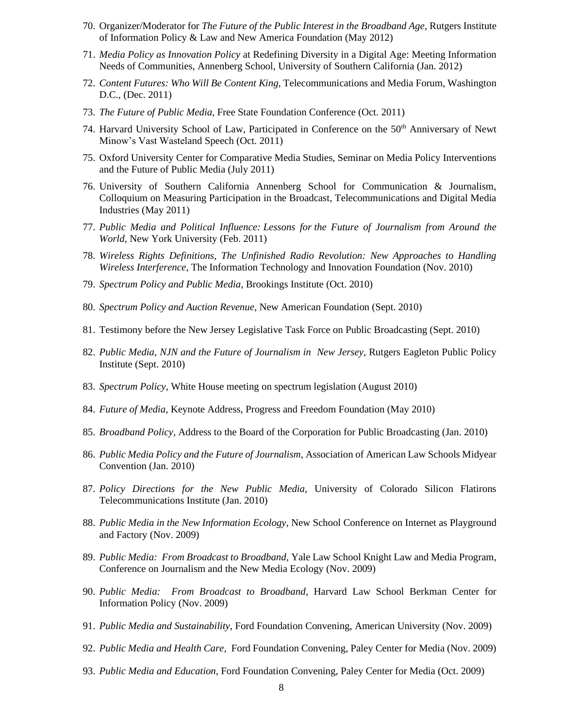- 70. Organizer/Moderator for *The Future of the Public Interest in the Broadband Age*, Rutgers Institute of Information Policy & Law and New America Foundation (May 2012)
- 71. *Media Policy as Innovation Policy* at Redefining Diversity in a Digital Age: Meeting Information Needs of Communities, Annenberg School, University of Southern California (Jan. 2012)
- 72. *Content Futures: Who Will Be Content King*, Telecommunications and Media Forum, Washington D.C., (Dec. 2011)
- 73. *The Future of Public Media*, Free State Foundation Conference (Oct. 2011)
- 74. Harvard University School of Law, Participated in Conference on the  $50<sup>th</sup>$  Anniversary of Newt Minow's Vast Wasteland Speech (Oct. 2011)
- 75. Oxford University Center for Comparative Media Studies, Seminar on Media Policy Interventions and the Future of Public Media (July 2011)
- 76. University of Southern California Annenberg School for Communication & Journalism, Colloquium on Measuring Participation in the Broadcast, Telecommunications and Digital Media Industries (May 2011)
- 77. *Public Media and Political Influence: Lessons for the Future of Journalism from Around the World*, New York University (Feb. 2011)
- 78. *Wireless Rights Definitions, The Unfinished Radio Revolution: New Approaches to Handling Wireless Interference*, The Information Technology and Innovation Foundation (Nov. 2010)
- 79. *Spectrum Policy and Public Media*, Brookings Institute (Oct. 2010)
- 80. *Spectrum Policy and Auction Revenue*, New American Foundation (Sept. 2010)
- 81. Testimony before the New Jersey Legislative Task Force on Public Broadcasting (Sept. 2010)
- 82. *Public Media, NJN and the Future of Journalism in New Jersey,* Rutgers Eagleton Public Policy Institute (Sept. 2010)
- 83. *Spectrum Policy*, White House meeting on spectrum legislation (August 2010)
- 84. *Future of Media,* Keynote Address, Progress and Freedom Foundation (May 2010)
- 85. *Broadband Policy*, Address to the Board of the Corporation for Public Broadcasting (Jan. 2010)
- 86. *Public Media Policy and the Future of Journalism*, Association of American Law Schools Midyear Convention (Jan. 2010)
- 87. *Policy Directions for the New Public Media,* University of Colorado Silicon Flatirons Telecommunications Institute (Jan. 2010)
- 88. *Public Media in the New Information Ecology,* New School Conference on Internet as Playground and Factory (Nov. 2009)
- 89. *Public Media: From Broadcast to Broadband,* Yale Law School Knight Law and Media Program, Conference on Journalism and the New Media Ecology (Nov. 2009)
- 90. *Public Media: From Broadcast to Broadband*, Harvard Law School Berkman Center for Information Policy (Nov. 2009)
- 91. *Public Media and Sustainability*, Ford Foundation Convening, American University (Nov. 2009)
- 92. *Public Media and Health Care,* Ford Foundation Convening, Paley Center for Media (Nov. 2009)
- 93. *Public Media and Education,* Ford Foundation Convening, Paley Center for Media (Oct. 2009)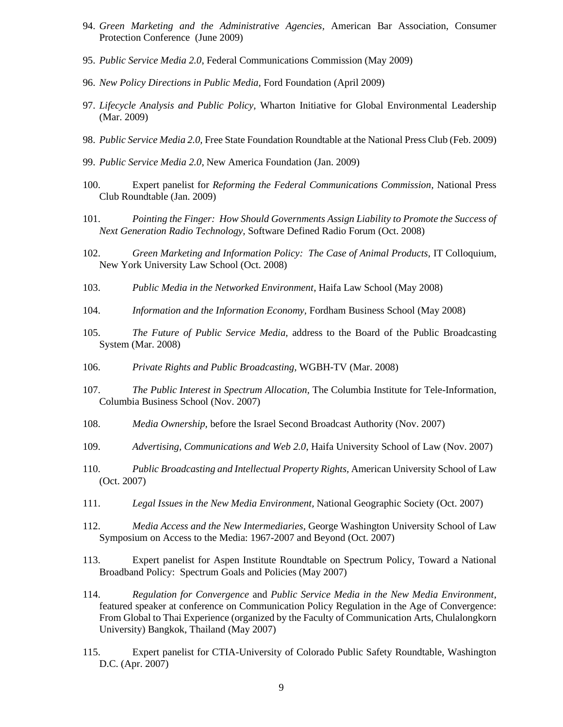- 94. *Green Marketing and the Administrative Agencies,* American Bar Association, Consumer Protection Conference (June 2009)
- 95. *Public Service Media 2.0*, Federal Communications Commission (May 2009)
- 96. *New Policy Directions in Public Media,* Ford Foundation (April 2009)
- 97. *Lifecycle Analysis and Public Policy,* Wharton Initiative for Global Environmental Leadership (Mar. 2009)
- 98. *Public Service Media 2.0,* Free State Foundation Roundtable at the National Press Club (Feb. 2009)
- 99. *Public Service Media 2.0*, New America Foundation (Jan. 2009)
- 100. Expert panelist for *Reforming the Federal Communications Commission,* National Press Club Roundtable (Jan. 2009)
- 101. *Pointing the Finger: How Should Governments Assign Liability to Promote the Success of Next Generation Radio Technology,* Software Defined Radio Forum (Oct. 2008)
- 102. *Green Marketing and Information Policy: The Case of Animal Products,* IT Colloquium, New York University Law School (Oct. 2008)
- 103. *Public Media in the Networked Environment*, Haifa Law School (May 2008)
- 104. *Information and the Information Economy,* Fordham Business School (May 2008)
- 105. *The Future of Public Service Media,* address to the Board of the Public Broadcasting System (Mar. 2008)
- 106. *Private Rights and Public Broadcasting,* WGBH-TV (Mar. 2008)
- 107. *The Public Interest in Spectrum Allocation,* The Columbia Institute for Tele-Information, Columbia Business School (Nov. 2007)
- 108. *Media Ownership,* before the Israel Second Broadcast Authority (Nov. 2007)
- 109. *Advertising, Communications and Web 2.0*, Haifa University School of Law (Nov. 2007)
- 110. *Public Broadcasting and Intellectual Property Rights,* American University School of Law (Oct. 2007)
- 111. *Legal Issues in the New Media Environment,* National Geographic Society (Oct. 2007)
- 112. *Media Access and the New Intermediaries,* George Washington University School of Law Symposium on Access to the Media: 1967-2007 and Beyond (Oct. 2007)
- 113. Expert panelist for Aspen Institute Roundtable on Spectrum Policy, Toward a National Broadband Policy: Spectrum Goals and Policies (May 2007)
- 114. *Regulation for Convergence* and *Public Service Media in the New Media Environment*, featured speaker at conference on Communication Policy Regulation in the Age of Convergence: From Global to Thai Experience (organized by the Faculty of Communication Arts, Chulalongkorn University) Bangkok, Thailand (May 2007)
- 115. Expert panelist for CTIA-University of Colorado Public Safety Roundtable, Washington D.C. (Apr. 2007)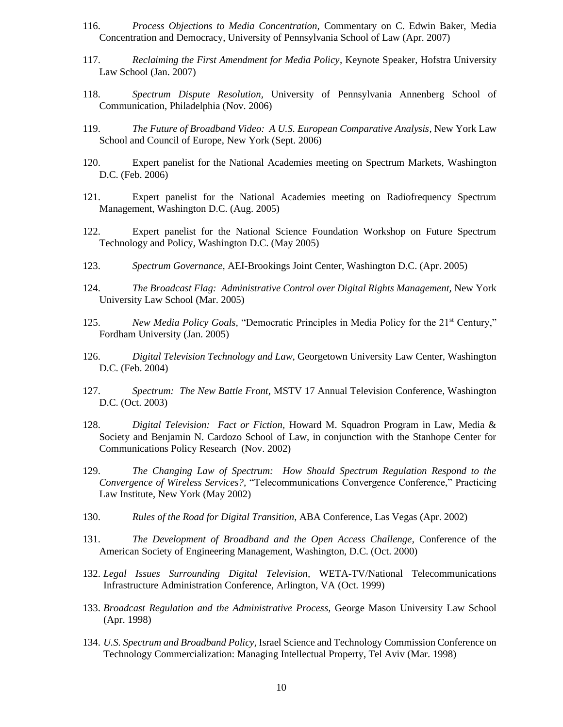- 116. *Process Objections to Media Concentration,* Commentary on C. Edwin Baker, Media Concentration and Democracy, University of Pennsylvania School of Law (Apr. 2007)
- 117. *Reclaiming the First Amendment for Media Policy*, Keynote Speaker, Hofstra University Law School (Jan. 2007)
- 118. *Spectrum Dispute Resolution,* University of Pennsylvania Annenberg School of Communication, Philadelphia (Nov. 2006)
- 119. *The Future of Broadband Video: A U.S. European Comparative Analysis*, New York Law School and Council of Europe, New York (Sept. 2006)
- 120. Expert panelist for the National Academies meeting on Spectrum Markets, Washington D.C. (Feb. 2006)
- 121. Expert panelist for the National Academies meeting on Radiofrequency Spectrum Management, Washington D.C. (Aug. 2005)
- 122. Expert panelist for the National Science Foundation Workshop on Future Spectrum Technology and Policy, Washington D.C. (May 2005)
- 123. *Spectrum Governance,* AEI-Brookings Joint Center, Washington D.C. (Apr. 2005)
- 124. *The Broadcast Flag: Administrative Control over Digital Rights Management,* New York University Law School (Mar. 2005)
- 125. *New Media Policy Goals,* "Democratic Principles in Media Policy for the 21<sup>st</sup> Century," Fordham University (Jan. 2005)
- 126. *Digital Television Technology and Law*, Georgetown University Law Center, Washington D.C. (Feb. 2004)
- 127. *Spectrum: The New Battle Front,* MSTV 17 Annual Television Conference, Washington D.C. (Oct. 2003)
- 128. *Digital Television: Fact or Fiction,* Howard M. Squadron Program in Law, Media & Society and Benjamin N. Cardozo School of Law, in conjunction with the Stanhope Center for Communications Policy Research (Nov. 2002)
- 129. *The Changing Law of Spectrum: How Should Spectrum Regulation Respond to the Convergence of Wireless Services?,* "Telecommunications Convergence Conference," Practicing Law Institute, New York (May 2002)
- 130. *Rules of the Road for Digital Transition*, ABA Conference, Las Vegas (Apr. 2002)
- 131. *The Development of Broadband and the Open Access Challenge*, Conference of the American Society of Engineering Management, Washington, D.C. (Oct. 2000)
- 132. *Legal Issues Surrounding Digital Television,* WETA-TV/National Telecommunications Infrastructure Administration Conference, Arlington, VA (Oct. 1999)
- 133. *Broadcast Regulation and the Administrative Process,* George Mason University Law School (Apr. 1998)
- 134. *U.S. Spectrum and Broadband Policy,* Israel Science and Technology Commission Conference on Technology Commercialization: Managing Intellectual Property, Tel Aviv (Mar. 1998)